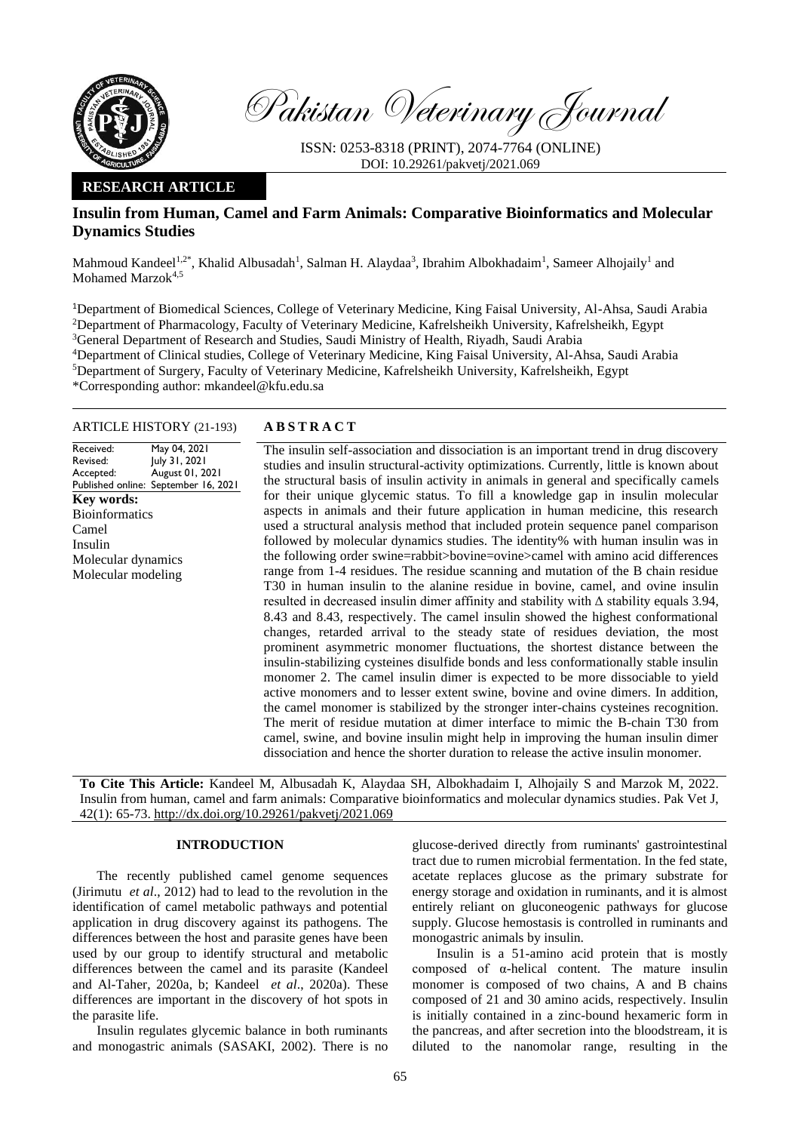

Pakistan Veterinary Journal

ISSN: 0253-8318 (PRINT), 2074-7764 (ONLINE) DOI: 10.29261/pakvetj/2021.069

# **RESEARCH ARTICLE**

# **Insulin from Human, Camel and Farm Animals: Comparative Bioinformatics and Molecular Dynamics Studies**

Mahmoud Kandeel<sup>1,2\*</sup>, Khalid Albusadah<sup>1</sup>, Salman H. Alaydaa<sup>3</sup>, Ibrahim Albokhadaim<sup>1</sup>, Sameer Alhojaily<sup>1</sup> and Mohamed Marzok<sup>4,5</sup>

Department of Biomedical Sciences, College of Veterinary Medicine, King Faisal University, Al-Ahsa, Saudi Arabia Department of Pharmacology, Faculty of Veterinary Medicine, Kafrelsheikh University, Kafrelsheikh, Egypt <sup>3</sup>General Department of Research and Studies, Saudi Ministry of Health, Riyadh, Saudi Arabia Department of Clinical studies, College of Veterinary Medicine, King Faisal University, Al-Ahsa, Saudi Arabia Department of Surgery, Faculty of Veterinary Medicine, Kafrelsheikh University, Kafrelsheikh, Egypt \*Corresponding author: mkandeel@kfu.edu.sa

# ARTICLE HISTORY (21-193) **A B S T R A C T**

Received: Revised: Accepted: Published online: September 16, 2021 May 04, 2021 July 31, 2021 August 01, 2021 **Key words:**  Bioinformatics Camel Insulin Molecular dynamics Molecular modeling

The insulin self-association and dissociation is an important trend in drug discovery studies and insulin structural-activity optimizations. Currently, little is known about the structural basis of insulin activity in animals in general and specifically camels for their unique glycemic status. To fill a knowledge gap in insulin molecular aspects in animals and their future application in human medicine, this research used a structural analysis method that included protein sequence panel comparison followed by molecular dynamics studies. The identity% with human insulin was in the following order swine=rabbit>bovine=ovine>camel with amino acid differences range from 1-4 residues. The residue scanning and mutation of the B chain residue T30 in human insulin to the alanine residue in bovine, camel, and ovine insulin resulted in decreased insulin dimer affinity and stability with Δ stability equals 3.94, 8.43 and 8.43, respectively. The camel insulin showed the highest conformational changes, retarded arrival to the steady state of residues deviation, the most prominent asymmetric monomer fluctuations, the shortest distance between the insulin-stabilizing cysteines disulfide bonds and less conformationally stable insulin monomer 2. The camel insulin dimer is expected to be more dissociable to yield active monomers and to lesser extent swine, bovine and ovine dimers. In addition, the camel monomer is stabilized by the stronger inter-chains cysteines recognition. The merit of residue mutation at dimer interface to mimic the B-chain T30 from camel, swine, and bovine insulin might help in improving the human insulin dimer dissociation and hence the shorter duration to release the active insulin monomer.

**To Cite This Article:** Kandeel M, Albusadah K, Alaydaa SH, Albokhadaim I, Alhojaily S and Marzok M, 2022. Insulin from human, camel and farm animals: Comparative bioinformatics and molecular dynamics studies. Pak Vet J, 42(1): 65-73[. http://dx.doi.org/10.29261/pakvetj/2021.069](http://pvj.com.pk/pdf-files/42_1/65-73.pdf)

## **INTRODUCTION**

The recently published camel genome sequences (Jirimutu *et al*., 2012) had to lead to the revolution in the identification of camel metabolic pathways and potential application in drug discovery against its pathogens. The differences between the host and parasite genes have been used by our group to identify structural and metabolic differences between the camel and its parasite (Kandeel and Al-Taher, 2020a, b; Kandeel *et al*., 2020a). These differences are important in the discovery of hot spots in the parasite life.

Insulin regulates glycemic balance in both ruminants and monogastric animals (SASAKI, 2002). There is no glucose-derived directly from ruminants' gastrointestinal tract due to rumen microbial fermentation. In the fed state, acetate replaces glucose as the primary substrate for energy storage and oxidation in ruminants, and it is almost entirely reliant on gluconeogenic pathways for glucose supply. Glucose hemostasis is controlled in ruminants and monogastric animals by insulin.

Insulin is a 51-amino acid protein that is mostly composed of α-helical content. The mature insulin monomer is composed of two chains, A and B chains composed of 21 and 30 amino acids, respectively. Insulin is initially contained in a zinc-bound hexameric form in the pancreas, and after secretion into the bloodstream, it is diluted to the nanomolar range, resulting in the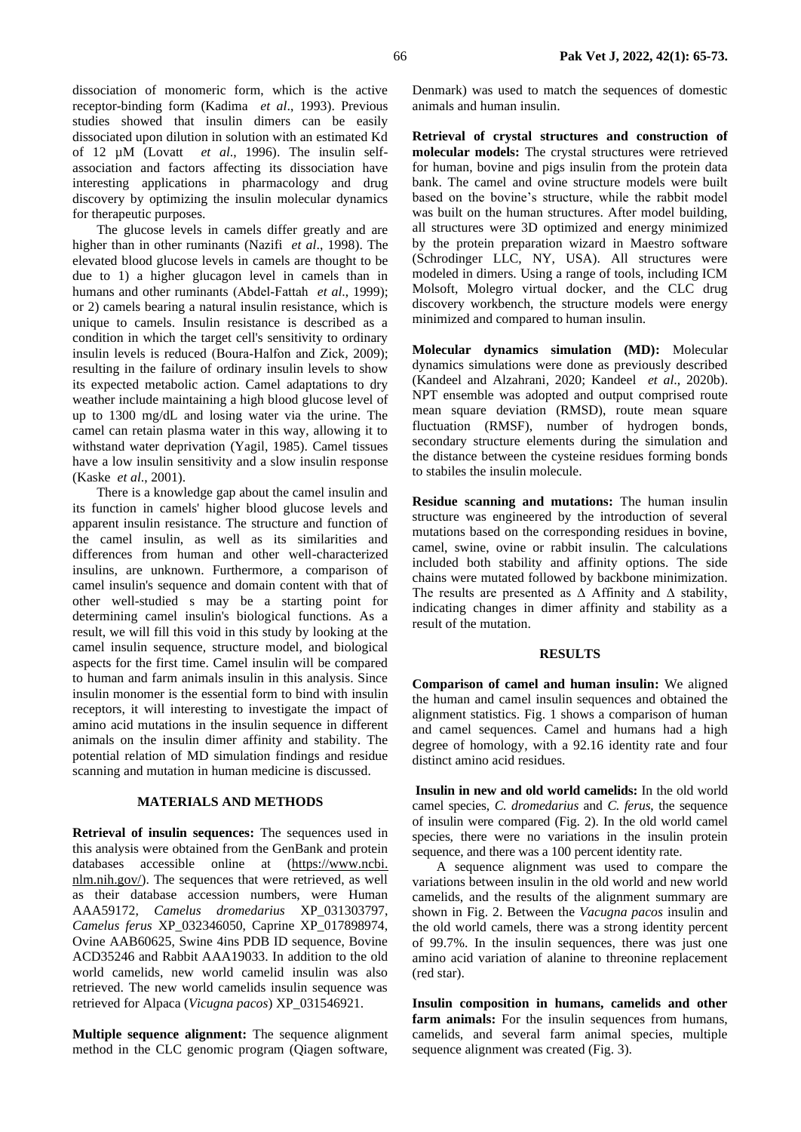dissociation of monomeric form, which is the active receptor-binding form (Kadima *et al*., 1993). Previous studies showed that insulin dimers can be easily dissociated upon dilution in solution with an estimated Kd of 12 µM (Lovatt *et al*., 1996). The insulin selfassociation and factors affecting its dissociation have interesting applications in pharmacology and drug discovery by optimizing the insulin molecular dynamics for therapeutic purposes.

The glucose levels in camels differ greatly and are higher than in other ruminants (Nazifi *et al*., 1998). The elevated blood glucose levels in camels are thought to be due to 1) a higher glucagon level in camels than in humans and other ruminants (Abdel‐Fattah *et al*., 1999); or 2) camels bearing a natural insulin resistance, which is unique to camels. Insulin resistance is described as a condition in which the target cell's sensitivity to ordinary insulin levels is reduced (Boura‐Halfon and Zick, 2009); resulting in the failure of ordinary insulin levels to show its expected metabolic action. Camel adaptations to dry weather include maintaining a high blood glucose level of up to 1300 mg/dL and losing water via the urine. The camel can retain plasma water in this way, allowing it to withstand water deprivation (Yagil, 1985). Camel tissues have a low insulin sensitivity and a slow insulin response (Kaske *et al*., 2001).

There is a knowledge gap about the camel insulin and its function in camels' higher blood glucose levels and apparent insulin resistance. The structure and function of the camel insulin, as well as its similarities and differences from human and other well-characterized insulins, are unknown. Furthermore, a comparison of camel insulin's sequence and domain content with that of other well-studied s may be a starting point for determining camel insulin's biological functions. As a result, we will fill this void in this study by looking at the camel insulin sequence, structure model, and biological aspects for the first time. Camel insulin will be compared to human and farm animals insulin in this analysis. Since insulin monomer is the essential form to bind with insulin receptors, it will interesting to investigate the impact of amino acid mutations in the insulin sequence in different animals on the insulin dimer affinity and stability. The potential relation of MD simulation findings and residue scanning and mutation in human medicine is discussed.

## **MATERIALS AND METHODS**

**Retrieval of insulin sequences:** The sequences used in this analysis were obtained from the GenBank and protein databases accessible online at (https://www.ncbi. nlm.nih.gov/). The sequences that were retrieved, as well as their database accession numbers, were Human AAA59172, *Camelus dromedarius* XP\_031303797, *Camelus ferus* XP\_032346050, Caprine XP\_017898974, Ovine AAB60625, Swine 4ins PDB ID sequence, Bovine ACD35246 and Rabbit AAA19033. In addition to the old world camelids, new world camelid insulin was also retrieved. The new world camelids insulin sequence was retrieved for Alpaca (*Vicugna pacos*) XP\_031546921.

**Multiple sequence alignment:** The sequence alignment method in the CLC genomic program (Qiagen software,

Denmark) was used to match the sequences of domestic animals and human insulin.

**Retrieval of crystal structures and construction of molecular models:** The crystal structures were retrieved for human, bovine and pigs insulin from the protein data bank. The camel and ovine structure models were built based on the bovine's structure, while the rabbit model was built on the human structures. After model building, all structures were 3D optimized and energy minimized by the protein preparation wizard in Maestro software (Schrodinger LLC, NY, USA). All structures were modeled in dimers. Using a range of tools, including ICM Molsoft, Molegro virtual docker, and the CLC drug discovery workbench, the structure models were energy minimized and compared to human insulin.

**Molecular dynamics simulation (MD):** Molecular dynamics simulations were done as previously described (Kandeel and Alzahrani, 2020; Kandeel *et al*., 2020b). NPT ensemble was adopted and output comprised route mean square deviation (RMSD), route mean square fluctuation (RMSF), number of hydrogen bonds, secondary structure elements during the simulation and the distance between the cysteine residues forming bonds to stabiles the insulin molecule.

**Residue scanning and mutations:** The human insulin structure was engineered by the introduction of several mutations based on the corresponding residues in bovine, camel, swine, ovine or rabbit insulin. The calculations included both stability and affinity options. The side chains were mutated followed by backbone minimization. The results are presented as  $\Delta$  Affinity and  $\Delta$  stability, indicating changes in dimer affinity and stability as a result of the mutation.

## **RESULTS**

**Comparison of camel and human insulin:** We aligned the human and camel insulin sequences and obtained the alignment statistics. Fig. 1 shows a comparison of human and camel sequences. Camel and humans had a high degree of homology, with a 92.16 identity rate and four distinct amino acid residues.

**Insulin in new and old world camelids:** In the old world camel species, *C. dromedarius* and *C. ferus*, the sequence of insulin were compared (Fig. 2). In the old world camel species, there were no variations in the insulin protein sequence, and there was a 100 percent identity rate.

A sequence alignment was used to compare the variations between insulin in the old world and new world camelids, and the results of the alignment summary are shown in Fig. 2. Between the *Vacugna pacos* insulin and the old world camels, there was a strong identity percent of 99.7%. In the insulin sequences, there was just one amino acid variation of alanine to threonine replacement (red star).

**Insulin composition in humans, camelids and other**  farm animals: For the insulin sequences from humans, camelids, and several farm animal species, multiple sequence alignment was created (Fig. 3).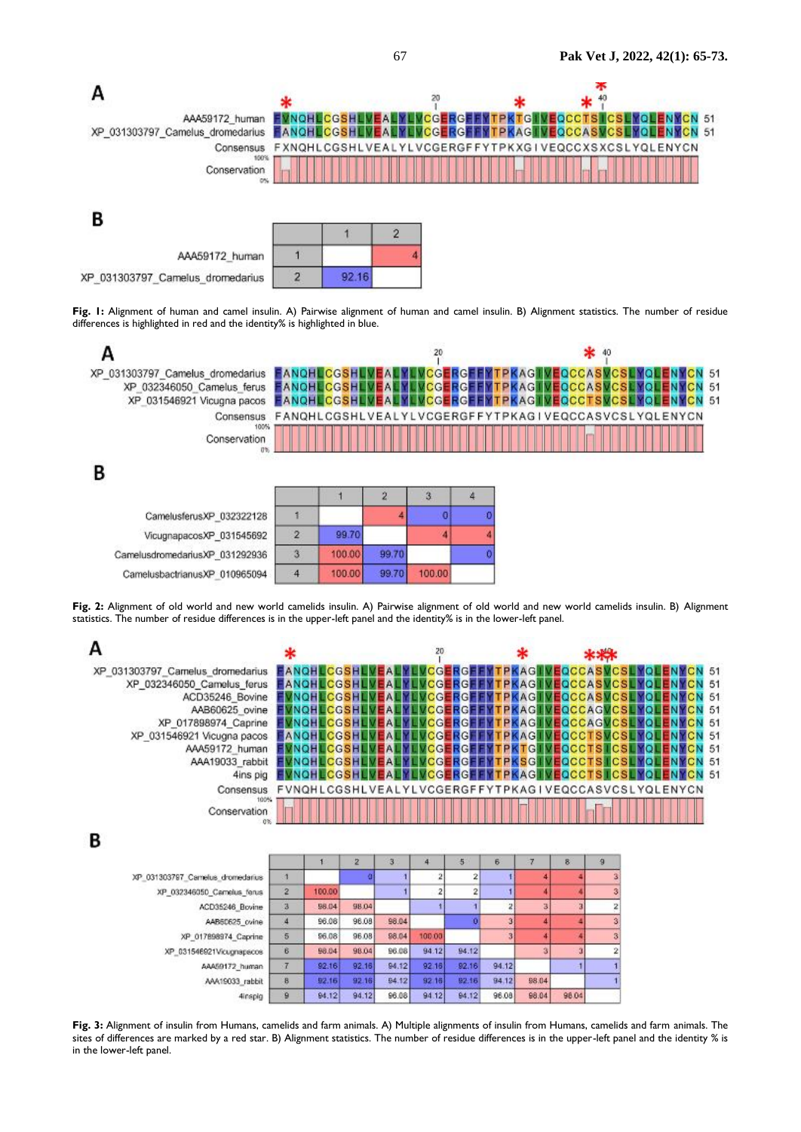

XP\_031303797\_Camelus\_dromedarius

**Fig. 1:** Alignment of human and camel insulin. A) Pairwise alignment of human and camel insulin. B) Alignment statistics. The number of residue differences is highlighted in red and the identity% is highlighted in blue.



Fig. 2: Alignment of old world and new world camelids insulin. A) Pairwise alignment of old world and new world camelids insulin. B) Alignment statistics. The number of residue differences is in the upper-left panel and the identity% is in the lower-left panel.

|                                  | ж          |          |              |   | 20         |            |    |             |                     |                     |                     |              |
|----------------------------------|------------|----------|--------------|---|------------|------------|----|-------------|---------------------|---------------------|---------------------|--------------|
| XP_031303797_Camelus_dromedarius | EANGHI     |          |              |   | ICGI       |            |    | <b>PKAG</b> |                     | <b>CCAS</b>         |                     | <b>CN 51</b> |
| XP_032346050_Camelus_ferus       | EANOHI     |          | <b>ICGSH</b> |   |            | ₹GI        | PI | $A$ G       |                     | <b>EQCCASVCS II</b> |                     | 51           |
| ACD35246_Bovine                  |            |          |              |   | rc Gl      | 13GI       | Рŀ | (AGI        | <b>IVEOCCA</b>      |                     |                     | 51           |
| AAB60625 ovine                   |            |          | CGSH         |   |            | MCGERGEFI  |    | <b>PKAG</b> | <b>VEOCCAGVCSLI</b> |                     |                     | 51           |
| XP_017898974_Caprine             |            |          |              |   | G          | <b>HGP</b> | в  |             |                     | ICCAGI              |                     | 51           |
| XP_031546921 Vicugna pacos       |            |          |              |   | rcer       | रदा        | Рŀ | <b>CAG</b>  | - 1000 1            |                     |                     | 51           |
| AAA59172_human                   |            | NOHLCGSH |              |   | II VCG RGI |            |    | <b>PKTG</b> | <b>MEDCCTS</b>      |                     |                     | 51           |
| AAA19033 rabbit                  |            |          |              |   |            | RGI        |    |             |                     |                     |                     | 51           |
| 4ins pig                         |            |          |              |   |            |            |    |             |                     |                     |                     | I 51         |
| Consensus                        | FVNQHLCGSH |          |              |   |            |            |    | ٠G          |                     |                     | 'EQCCASVCSLYQLENYCN |              |
| 100%<br>Conservation             |            |          |              |   |            |            |    |             |                     |                     |                     |              |
| В                                |            |          |              |   |            |            |    |             |                     |                     |                     |              |
|                                  |            |          |              | з |            | 5          | 6  |             | 8                   | -9                  |                     |              |
| XP_031303797_Camelus_dromedarius |            |          |              |   |            |            |    |             |                     |                     |                     |              |

|                                  |                |              | 2     | $\overline{3}$ | 4      | 5            | 6              |       | 8     | $\overline{9}$          |
|----------------------------------|----------------|--------------|-------|----------------|--------|--------------|----------------|-------|-------|-------------------------|
| XP 031303797 Camelus dromedarius |                |              |       |                |        |              |                |       |       | 3                       |
| XP_032346050_Camelus_ferus       | $\overline{2}$ | 100.00       |       |                |        |              |                |       |       | 3                       |
| ACD35246 Bovine                  | $\overline{3}$ | 98.04        | 98.04 |                |        |              | $\overline{2}$ | з     |       | 2                       |
| AAB60625_ovine                   | 4              | 96.08        | 98.08 | 98.04          |        |              |                |       |       | $\mathbf{\hat{3}}$      |
| XP 017898974 Caprine             | $\overline{5}$ | 96.08        | 96.08 | 98.04          | 100.00 |              | 3 <sub>1</sub> |       |       | $\overline{\mathbf{3}}$ |
| XP_031546921Vicugnapacos         | B.             | 98.04        | 98.04 | 96.08          | 94.12  | 94.12        |                |       |       | 2                       |
| AAA59172 human                   |                | 92.16        | 92.16 | 94.12          | 92,16  | 92.16        | 94.12          |       |       |                         |
| AAA19033_rabbit                  | B              | 92.16        | 92.16 | 94.12          | 92,16  | 92.16        | 94.12          | 98.04 |       |                         |
| Ainenin                          | $\alpha$       | <b>A4 12</b> | 94.12 | 96.08          | 94.12  | <b>A4 12</b> | 96.08          | 98.04 | 98.04 |                         |

**Fig. 3:** Alignment of insulin from Humans, camelids and farm animals. A) Multiple alignments of insulin from Humans, camelids and farm animals. The sites of differences are marked by a red star. B) Alignment statistics. The number of residue differences is in the upper-left panel and the identity % is in the lower-left panel.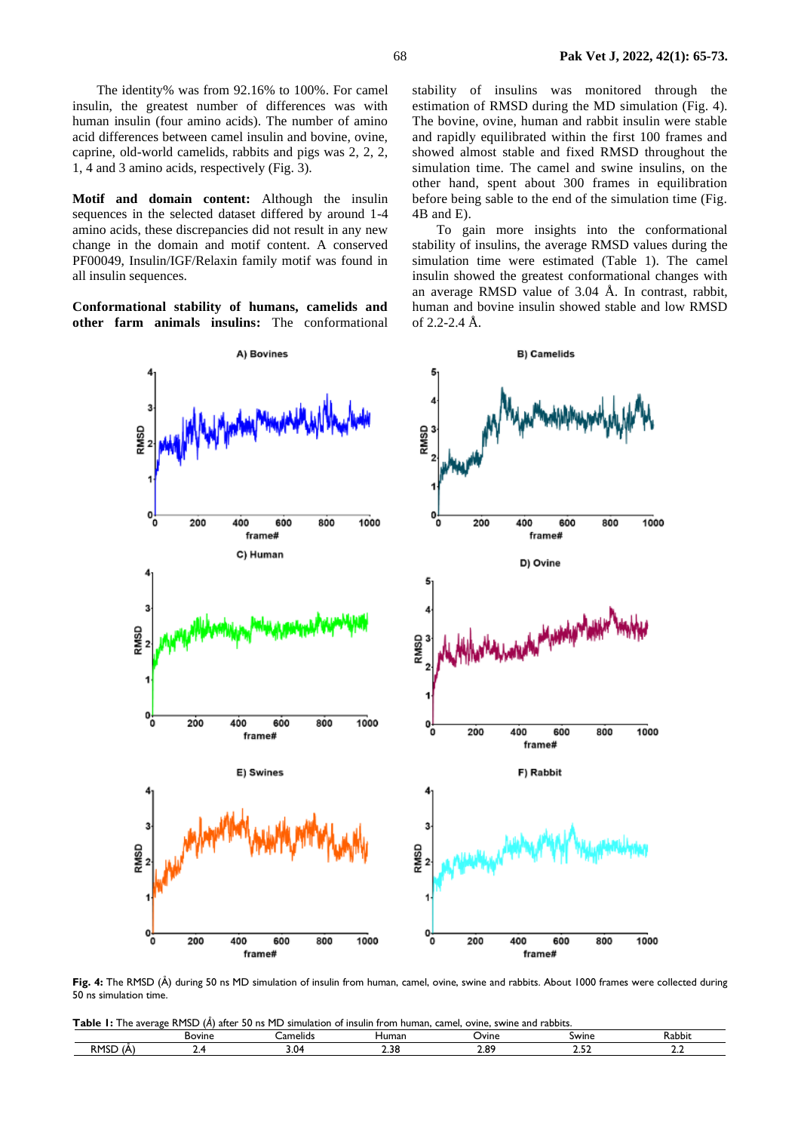The identity% was from 92.16% to 100%. For camel insulin, the greatest number of differences was with human insulin (four amino acids). The number of amino acid differences between camel insulin and bovine, ovine, caprine, old-world camelids, rabbits and pigs was 2, 2, 2, 1, 4 and 3 amino acids, respectively (Fig. 3).

**Motif and domain content:** Although the insulin sequences in the selected dataset differed by around 1-4 amino acids, these discrepancies did not result in any new change in the domain and motif content. A conserved PF00049, Insulin/IGF/Relaxin family motif was found in all insulin sequences.

**Conformational stability of humans, camelids and other farm animals insulins:** The conformational

stability of insulins was monitored through the estimation of RMSD during the MD simulation (Fig. 4). The bovine, ovine, human and rabbit insulin were stable and rapidly equilibrated within the first 100 frames and showed almost stable and fixed RMSD throughout the simulation time. The camel and swine insulins, on the other hand, spent about 300 frames in equilibration before being sable to the end of the simulation time (Fig. 4B and E).

To gain more insights into the conformational stability of insulins, the average RMSD values during the simulation time were estimated (Table 1). The camel insulin showed the greatest conformational changes with an average RMSD value of 3.04 Å. In contrast, rabbit, human and bovine insulin showed stable and low RMSD of 2.2-2.4 Å.



**Fig. 4:** The RMSD (Å) during 50 ns MD simulation of insulin from human, camel, ovine, swine and rabbits. About 1000 frames were collected during 50 ns simulation time.

**Table 1:** The average RMSD (*Å*) after 50 ns MD simulation of insulin from human, camel, ovine, swine and rabbits.

|                         | <b>Bovine</b> | amelids_ | ⊣uman | Ovine | Swine   | <b>Kabbit</b> |
|-------------------------|---------------|----------|-------|-------|---------|---------------|
| <b>RMSD</b><br>A<br>∟כו | . .           | <br>J.V  | 2.38  | 2.89  | - -<br> |               |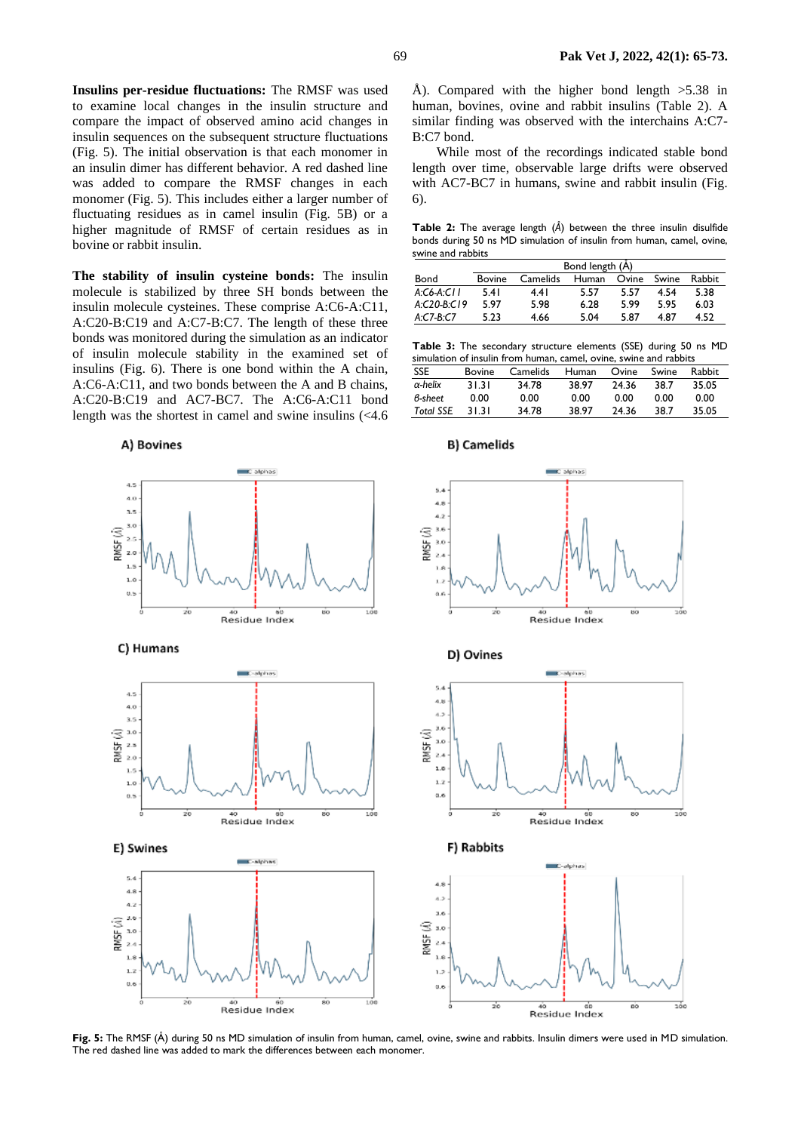**Insulins per-residue fluctuations:** The RMSF was used to examine local changes in the insulin structure and compare the impact of observed amino acid changes in insulin sequences on the subsequent structure fluctuations (Fig. 5). The initial observation is that each monomer in an insulin dimer has different behavior. A red dashed line was added to compare the RMSF changes in each monomer (Fig. 5). This includes either a larger number of fluctuating residues as in camel insulin (Fig. 5B) or a higher magnitude of RMSF of certain residues as in bovine or rabbit insulin.

**The stability of insulin cysteine bonds:** The insulin molecule is stabilized by three SH bonds between the insulin molecule cysteines. These comprise A:C6-A:C11, A:C20-B:C19 and A:C7-B:C7. The length of these three bonds was monitored during the simulation as an indicator of insulin molecule stability in the examined set of insulins (Fig. 6). There is one bond within the A chain, A:C6-A:C11, and two bonds between the A and B chains, A:C20-B:C19 and AC7-BC7. The A:C6-A:C11 bond length was the shortest in camel and swine insulins (<4.6

A) Bovines

Å). Compared with the higher bond length  $>5.38$  in human, bovines, ovine and rabbit insulins (Table 2). A similar finding was observed with the interchains A:C7- B:C7 bond.

While most of the recordings indicated stable bond length over time, observable large drifts were observed with AC7-BC7 in humans, swine and rabbit insulin (Fig. 6).

**Table 2:** The average length (*Å*) between the three insulin disulfide bonds during 50 ns MD simulation of insulin from human, camel, ovine, swine and rabbits

|             | Bond length (A) |          |       |       |       |        |  |  |
|-------------|-----------------|----------|-------|-------|-------|--------|--|--|
| Bond        | Bovine          | Camelids | Human | Ovine | Swine | Rabbit |  |  |
| A:CA:CH     | 5.41            | 4.41     | 5.57  | 5.57  | 4.54  | 5.38   |  |  |
| $A CO-BCI9$ | 597             | 5.98     | 6.28  | 5.99  | 5.95  | 6.03   |  |  |
| $A$ C7-B C7 | 5.23            | 4.66     | 5.04  | 5.87  | 4.87  | 4.52   |  |  |

**Table 3:** The secondary structure elements (SSE) during 50 ns MD simulation of insulin from human, camel, ovine, swine and rabbits

| <b>SSE</b>       | <b>Bovine</b> | Camelids | Human | Ovine | Swine | <b>Rabbit</b> |
|------------------|---------------|----------|-------|-------|-------|---------------|
| $\alpha$ -helix  | 31.31         | 34.78    | 38.97 | 24.36 | 38.7  | 35.05         |
| B-sheet          | 0.00          | 0.00     | 0.00  | 0.00  | 0.00  | 0.00          |
| <b>Total SSE</b> | 31.31         | 34.78    | 38.97 | 24.36 | 38.7  | 35.05         |



**Fig. 5:** The RMSF (Å) during 50 ns MD simulation of insulin from human, camel, ovine, swine and rabbits. Insulin dimers were used in MD simulation. The red dashed line was added to mark the differences between each monomer.

### **B)** Camelids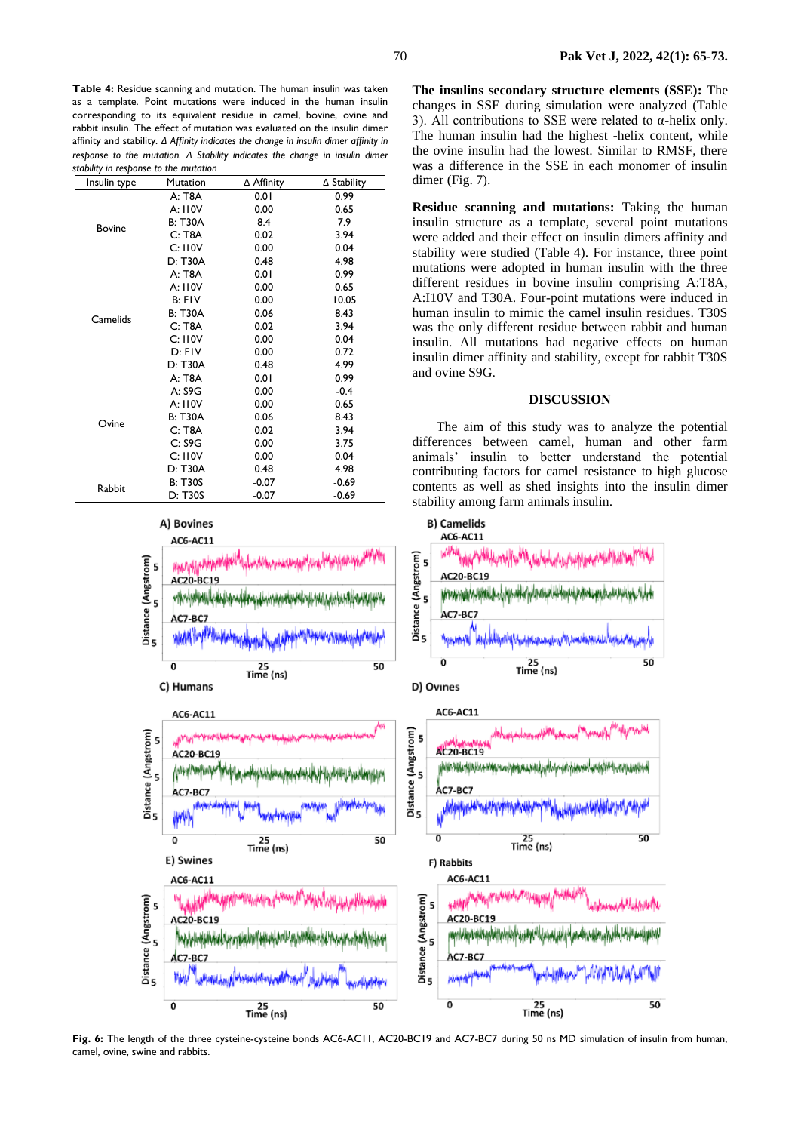**Table 4:** Residue scanning and mutation. The human insulin was taken as a template. Point mutations were induced in the human insulin corresponding to its equivalent residue in camel, bovine, ovine and rabbit insulin. The effect of mutation was evaluated on the insulin dimer affinity and stability. *Δ Affinity indicates the change in insulin dimer affinity in response to the mutation. Δ Stability indicates the change in insulin dimer stability in response to the mutation*

| Insulin type  | Mutation       | ∆ Affinity | $\triangle$ Stability |
|---------------|----------------|------------|-----------------------|
|               | A: T8A         | 0.01       | 0.99                  |
|               | A: 110V        | 0.00       | 0.65                  |
|               | <b>B: T30A</b> | 8.4        | 7.9                   |
| <b>Bovine</b> | C: T8A         | 0.02       | 3.94                  |
|               | C: 110V        | 0.00       | 0.04                  |
|               | D: T30A        | 0.48       | 4.98                  |
|               | A: T8A         | 0.01       | 0.99                  |
|               | A: 110V        | 0.00       | 0.65                  |
| Camelids      | B: FIV         | 0.00       | 10.05                 |
|               | <b>B: T30A</b> | 0.06       | 8.43                  |
|               | C: T8A         | 0.02       | 3.94                  |
|               | C: 110V        | 0.00       | 0.04                  |
|               | D: FIV         | 0.00       | 0.72                  |
|               | D: T30A        | 0.48       | 4.99                  |
|               | A: T8A         | 0.01       | 0.99                  |
|               | A: S9G         | 0.00       | $-0.4$                |
|               | A: 110V        | 0.00       | 0.65                  |
|               | <b>B: T30A</b> | 0.06       | 8.43                  |
| Ovine         | C: T8A         | 0.02       | 3.94                  |
|               | C: S9G         | 0.00       | 3.75                  |
|               | C: 110V        | 0.00       | 0.04                  |
|               | D: T30A        | 0.48       | 4.98                  |
|               | <b>B: T30S</b> | $-0.07$    | $-0.69$               |
| Rabbit        | D: T30S        | $-0.07$    | $-0.69$               |



**The insulins secondary structure elements (SSE):** The changes in SSE during simulation were analyzed (Table 3). All contributions to SSE were related to α-helix only. The human insulin had the highest -helix content, while the ovine insulin had the lowest. Similar to RMSF, there was a difference in the SSE in each monomer of insulin dimer (Fig. 7).

**Residue scanning and mutations:** Taking the human insulin structure as a template, several point mutations were added and their effect on insulin dimers affinity and stability were studied (Table 4). For instance, three point mutations were adopted in human insulin with the three different residues in bovine insulin comprising A:T8A, A:I10V and T30A. Four-point mutations were induced in human insulin to mimic the camel insulin residues. T30S was the only different residue between rabbit and human insulin. All mutations had negative effects on human insulin dimer affinity and stability, except for rabbit T30S and ovine S9G.

#### **DISCUSSION**

The aim of this study was to analyze the potential differences between camel, human and other farm animals' insulin to better understand the potential contributing factors for camel resistance to high glucose contents as well as shed insights into the insulin dimer stability among farm animals insulin.



**Fig. 6:** The length of the three cysteine-cysteine bonds AC6-AC11, AC20-BC19 and AC7-BC7 during 50 ns MD simulation of insulin from human, camel, ovine, swine and rabbits.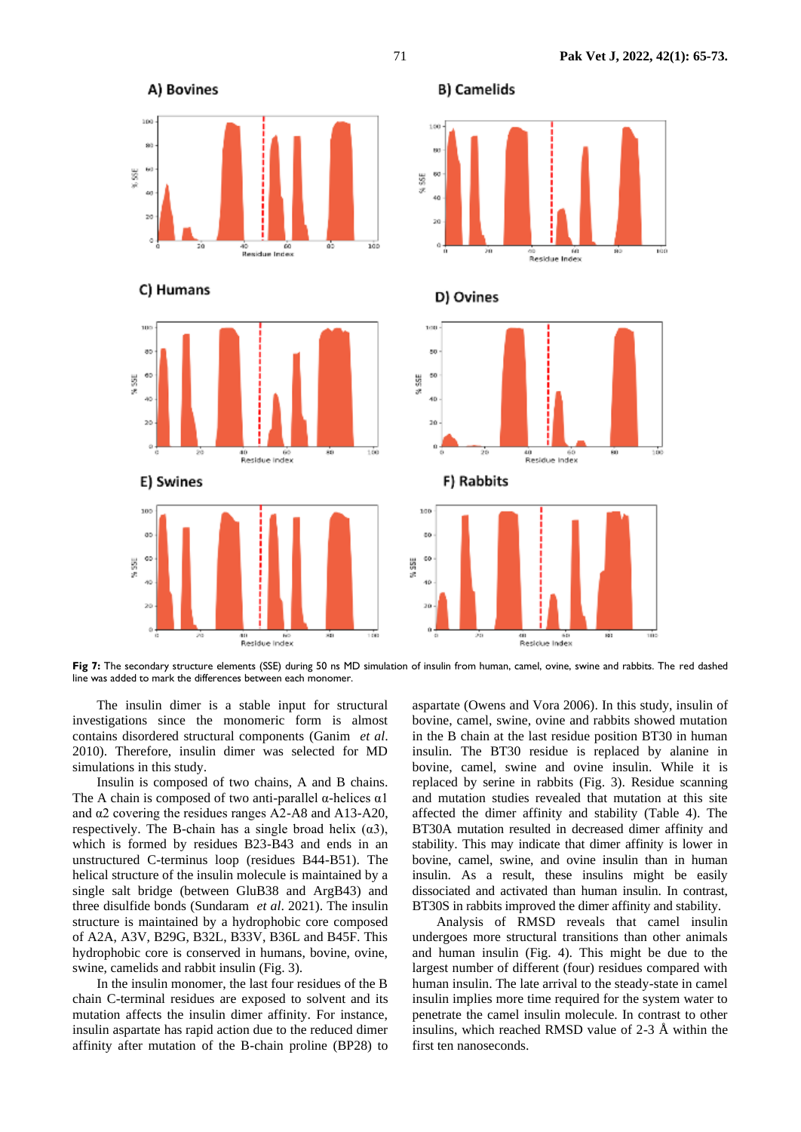

**Fig 7:** The secondary structure elements (SSE) during 50 ns MD simulation of insulin from human, camel, ovine, swine and rabbits. The red dashed line was added to mark the differences between each monomer.

The insulin dimer is a stable input for structural investigations since the monomeric form is almost contains disordered structural components (Ganim *et al*. 2010). Therefore, insulin dimer was selected for MD simulations in this study.

Insulin is composed of two chains, A and B chains. The A chain is composed of two anti-parallel  $\alpha$ -helices  $\alpha$ 1 and α2 covering the residues ranges A2-A8 and A13-A20, respectively. The B-chain has a single broad helix  $(\alpha 3)$ , which is formed by residues B23-B43 and ends in an unstructured C-terminus loop (residues B44-B51). The helical structure of the insulin molecule is maintained by a single salt bridge (between GluB38 and ArgB43) and three disulfide bonds (Sundaram *et al*. 2021). The insulin structure is maintained by a hydrophobic core composed of A2A, A3V, B29G, B32L, B33V, B36L and B45F. This hydrophobic core is conserved in humans, bovine, ovine, swine, camelids and rabbit insulin (Fig. 3).

In the insulin monomer, the last four residues of the B chain C-terminal residues are exposed to solvent and its mutation affects the insulin dimer affinity. For instance, insulin aspartate has rapid action due to the reduced dimer affinity after mutation of the B-chain proline (BP28) to

aspartate (Owens and Vora 2006). In this study, insulin of bovine, camel, swine, ovine and rabbits showed mutation in the B chain at the last residue position BT30 in human insulin. The BT30 residue is replaced by alanine in bovine, camel, swine and ovine insulin. While it is replaced by serine in rabbits (Fig. 3). Residue scanning and mutation studies revealed that mutation at this site affected the dimer affinity and stability (Table 4). The BT30A mutation resulted in decreased dimer affinity and stability. This may indicate that dimer affinity is lower in bovine, camel, swine, and ovine insulin than in human insulin. As a result, these insulins might be easily dissociated and activated than human insulin. In contrast, BT30S in rabbits improved the dimer affinity and stability.

Analysis of RMSD reveals that camel insulin undergoes more structural transitions than other animals and human insulin (Fig. 4). This might be due to the largest number of different (four) residues compared with human insulin. The late arrival to the steady-state in camel insulin implies more time required for the system water to penetrate the camel insulin molecule. In contrast to other insulins, which reached RMSD value of 2-3 Å within the first ten nanoseconds.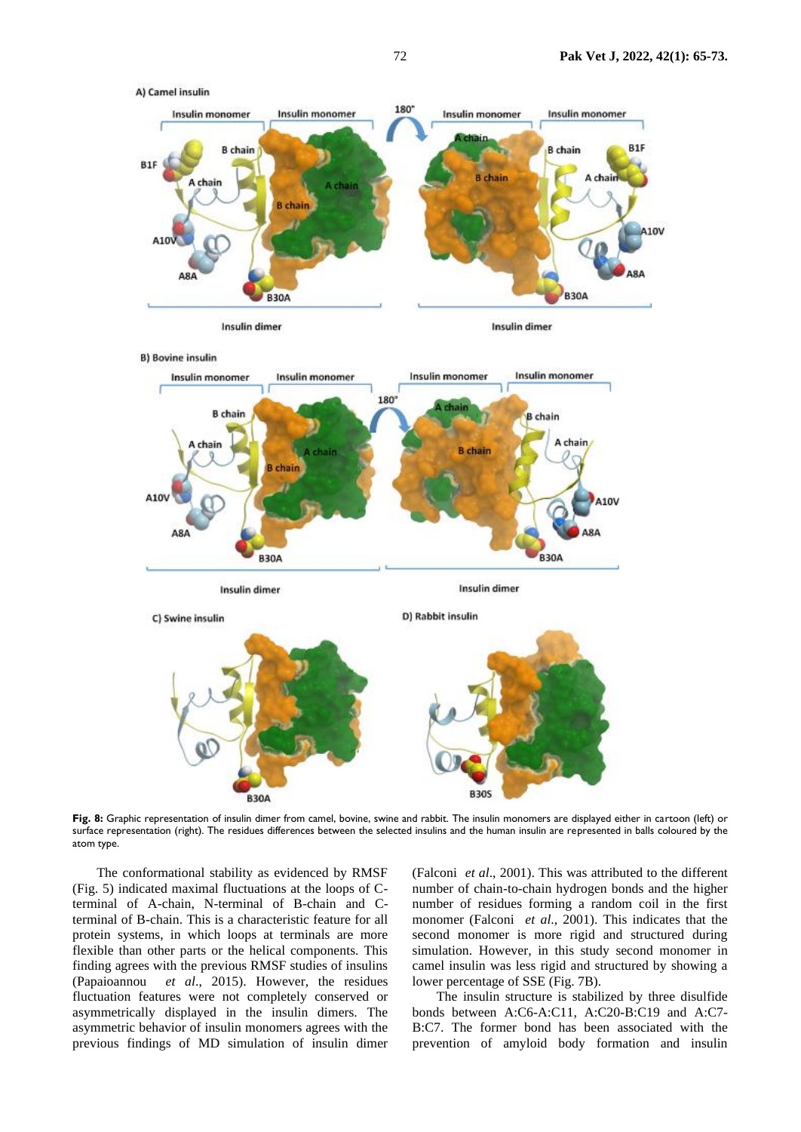

Fig. 8: Graphic representation of insulin dimer from camel, bovine, swine and rabbit. The insulin monomers are displayed either in cartoon (left) or surface representation (right). The residues differences between the selected insulins and the human insulin are represented in balls coloured by the atom type.

The conformational stability as evidenced by RMSF (Fig. 5) indicated maximal fluctuations at the loops of Cterminal of A-chain, N-terminal of B-chain and Cterminal of B-chain. This is a characteristic feature for all protein systems, in which loops at terminals are more flexible than other parts or the helical components. This finding agrees with the previous RMSF studies of insulins (Papaioannou *et al*., 2015). However, the residues fluctuation features were not completely conserved or asymmetrically displayed in the insulin dimers. The asymmetric behavior of insulin monomers agrees with the previous findings of MD simulation of insulin dimer

(Falconi *et al*., 2001). This was attributed to the different number of chain-to-chain hydrogen bonds and the higher number of residues forming a random coil in the first monomer (Falconi *et al*., 2001). This indicates that the second monomer is more rigid and structured during simulation. However, in this study second monomer in camel insulin was less rigid and structured by showing a lower percentage of SSE (Fig. 7B).

The insulin structure is stabilized by three disulfide bonds between A:C6-A:C11, A:C20-B:C19 and A:C7- B:C7. The former bond has been associated with the prevention of amyloid body formation and insulin